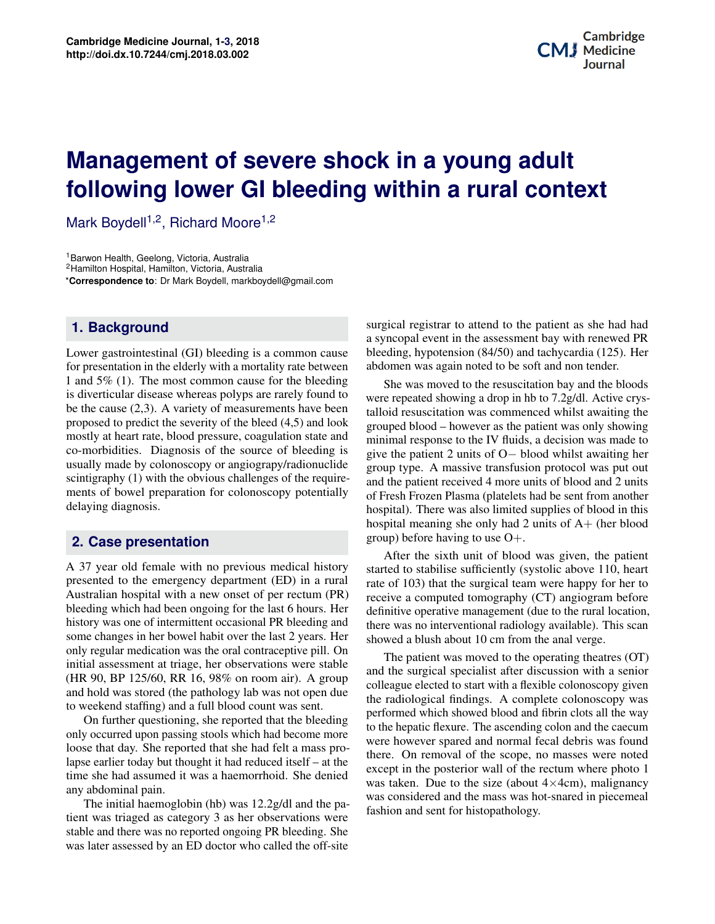# **Potential Applications of Three-dimensional following lower GI bleeding within a rural context Management of severe shock in a young adult**

Mark Boydell<sup>1,2</sup>, Richard Moore<sup>1,2</sup>

<sup>1</sup> Barwon Health, Geelong, Victoria, Australia

<sup>2</sup>Hamilton Hospital, Hamilton, Victoria, Australia

\***Correspondence to**: Dr Mark Boydell, markboydell@gmail.com

## **1. Background**

Lower gastrointestinal (GI) bleeding is a common cause for presentation in the elderly with a mortality rate between 1 and 5% (1). The most common cause for the bleeding is diverticular disease whereas polyps are rarely found to be the cause (2,3). A variety of measurements have been proposed to predict the severity of the bleed (4,5) and look mostly at heart rate, blood pressure, coagulation state and co-morbidities. Diagnosis of the source of bleeding is usually made by colonoscopy or angiograpy/radionuclide scintigraphy (1) with the obvious challenges of the requirements of bowel preparation for colonoscopy potentially delaying diagnosis.

## **2. Case presentation**

**Contents** to weekend staffing) and a full blood count was sent. A 37 year old female with no previous medical history presented to the emergency department (ED) in a rural Australian hospital with a new onset of per rectum (PR) bleeding which had been ongoing for the last 6 hours. Her history was one of intermittent occasional PR bleeding and some changes in her bowel habit over the last 2 years. Her only regular medication was the oral contraceptive pill. On initial assessment at triage, her observations were stable (HR 90, BP 125/60, RR 16, 98% on room air). A group and hold was stored (the pathology lab was not open due

In the latter questioning, the experimental executing only occurred upon passing stools which had become more loose that day. She reported that she had felt a mass pro-**3 Principles of Application/Methods of Bioprinting 2** time she had assumed it was a haemorrhoid. She denied **4 Discussion 3** any abdominal pain. On further questioning, she reported that the bleeding lapse earlier today but thought it had reduced itself – at the

Fire find indentiographic (iii) was 12.2g/d and the patient was triaged as category 3 as her observations were stable and there was no reported ongoing PR bleeding. She was later assessed by an ED doctor who called the off-site  $\sigma$ . She  $\frac{1}{2}$  from the term 'bioprinting'. In content the term 'bioprinting'  $\frac{1}{2}$  from the term is  $\frac{1}{2}$ The initial haemoglobin (hb) was 12.2g/dl and the pa-

surgical registrar to attend to the patient as she had had a syncopal event in the assessment bay with renewed PR bleeding, hypotension (84/50) and tachycardia (125). Her abdomen was again noted to be soft and non tender.

on bay and the bloods<br> $\frac{1}{2}$  of  $\frac{1}{2}$   $\frac{1}{2}$   $\frac{1}{2}$   $\frac{1}{2}$   $\frac{1}{2}$   $\frac{1}{2}$   $\frac{1}{2}$   $\frac{1}{2}$   $\frac{1}{2}$   $\frac{1}{2}$   $\frac{1}{2}$   $\frac{1}{2}$   $\frac{1}{2}$   $\frac{1}{2}$   $\frac{1}{2}$   $\frac{1}{2}$   $\frac{1}{2}$   $\frac{1}{2}$   $\frac{1}{$ becausing the<br>owing<br>add to She was moved to the resuscitation bay and the bloods were repeated showing a drop in hb to 7.2g/dl. Active crystalloid resuscitation was commenced whilst awaiting the grouped blood – however as the patient was only showing minimal response to the IV fluids, a decision was made to give the patient 2 units of O− blood whilst awaiting her group type. A massive transfusion protocol was put out and the patient received 4 more units of blood and 2 units of Fresh Frozen Plasma (platelets had be sent from another hospital). There was also limited supplies of blood in this hospital meaning she only had 2 units of A+ (her blood group) before having to use  $O_{+}$ .

definitive operative management (due to the rural location, there was no interventional radiology available). This scan After the sixth unit of blood was given, the patient started to stabilise sufficiently (systolic above 110, heart rate of 103) that the surgical team were happy for her to receive a computed tomography (CT) angiogram before definitive operative management (due to the rural location, showed a blush about 10 cm from the anal verge.

The patient was inoved to the operating the argues  $(01)$ <br>and the surgical specialist after discussion with a senior colleague elected to start with a flexible colonoscopy given the *in vitroperties* in virtual materials. The *in virtual manners* which showed blood and fibrin clots all the way  $\sum_{\text{m}}$  to the hepatic flexure. The ascending colon and the caecum<br>the final chapter of the book mentions and the caecum there is the see part of the scope, no masses were noted of the rectum where photo 1<br> $\left(\text{about }4 \times 4 \text{cm}\right)$  realignates  $h_{\text{e}}$  p<sub>2</sub> was considered and the mass was hot-snared in piecemeal  $\log y$ . <sup>2n due</sup> the radiological findings. A complete colonoscopy was were however spared and normal fecal debris was founds  $\frac{1}{100}$  of  $\frac{1}{100}$ at the except in the posterior wall of the rectum where photo 1 lenied<br>was taken. Due to the size (about  $4 \times 4$ cm), malignancy  $\lim_{\Delta t \to 0}$  fashion and sent for histopathology. The patient was moved to the operating theatres (OT)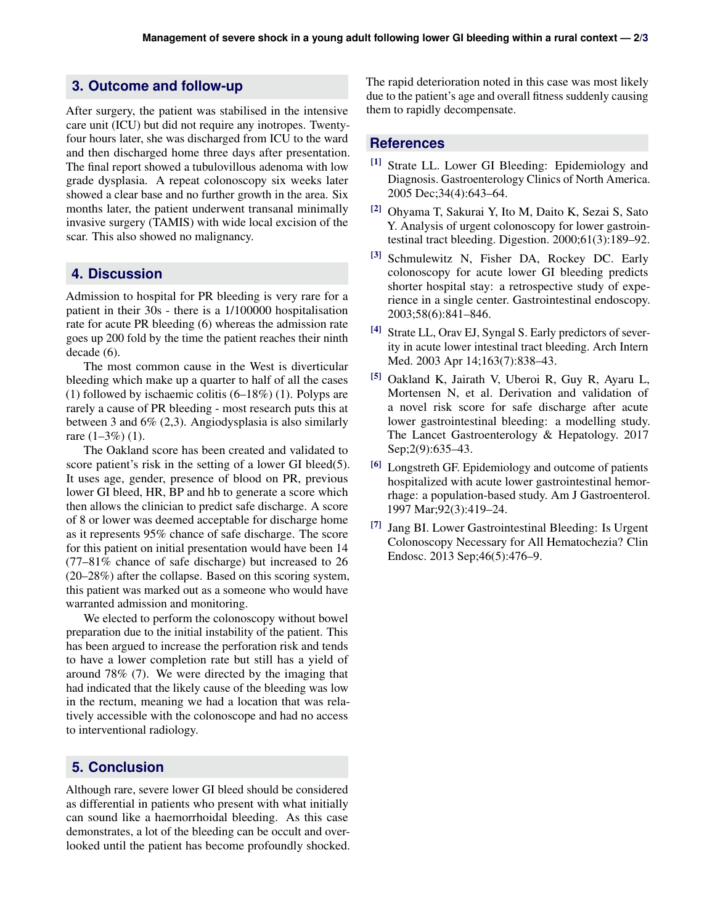### **3. Outcome and follow-up**

After surgery, the patient was stabilised in the intensive care unit (ICU) but did not require any inotropes. Twentyfour hours later, she was discharged from ICU to the ward and then discharged home three days after presentation. The final report showed a tubulovillous adenoma with low grade dysplasia. A repeat colonoscopy six weeks later showed a clear base and no further growth in the area. Six months later, the patient underwent transanal minimally invasive surgery (TAMIS) with wide local excision of the scar. This also showed no malignancy.

#### **4. Discussion**

Admission to hospital for PR bleeding is very rare for a patient in their 30s - there is a 1/100000 hospitalisation rate for acute PR bleeding (6) whereas the admission rate goes up 200 fold by the time the patient reaches their ninth decade  $(6)$ .

The most common cause in the West is diverticular bleeding which make up a quarter to half of all the cases (1) followed by ischaemic colitis (6–18%) (1). Polyps are rarely a cause of PR bleeding - most research puts this at between 3 and 6% (2,3). Angiodysplasia is also similarly rare  $(1-3\%) (1)$ .

The Oakland score has been created and validated to score patient's risk in the setting of a lower GI bleed(5). It uses age, gender, presence of blood on PR, previous lower GI bleed, HR, BP and hb to generate a score which then allows the clinician to predict safe discharge. A score of 8 or lower was deemed acceptable for discharge home as it represents 95% chance of safe discharge. The score for this patient on initial presentation would have been 14 (77–81% chance of safe discharge) but increased to 26 (20–28%) after the collapse. Based on this scoring system, this patient was marked out as a someone who would have warranted admission and monitoring.

We elected to perform the colonoscopy without bowel preparation due to the initial instability of the patient. This has been argued to increase the perforation risk and tends to have a lower completion rate but still has a yield of around 78% (7). We were directed by the imaging that had indicated that the likely cause of the bleeding was low in the rectum, meaning we had a location that was relatively accessible with the colonoscope and had no access to interventional radiology.

## **5. Conclusion**

Although rare, severe lower GI bleed should be considered as differential in patients who present with what initially can sound like a haemorrhoidal bleeding. As this case demonstrates, a lot of the bleeding can be occult and overlooked until the patient has become profoundly shocked. The rapid deterioration noted in this case was most likely due to the patient's age and overall fitness suddenly causing them to rapidly decompensate.

#### **References**

- [1] Strate LL. Lower GI Bleeding: Epidemiology and Diagnosis. Gastroenterology Clinics of North America. 2005 Dec;34(4):643–64.
- [2] Ohyama T, Sakurai Y, Ito M, Daito K, Sezai S, Sato Y. Analysis of urgent colonoscopy for lower gastrointestinal tract bleeding. Digestion. 2000;61(3):189–92.
- [3] Schmulewitz N, Fisher DA, Rockey DC. Early colonoscopy for acute lower GI bleeding predicts shorter hospital stay: a retrospective study of experience in a single center. Gastrointestinal endoscopy. 2003;58(6):841–846.
- [4] Strate LL, Orav EJ, Syngal S. Early predictors of severity in acute lower intestinal tract bleeding. Arch Intern Med. 2003 Apr 14;163(7):838–43.
- [5] Oakland K, Jairath V, Uberoi R, Guy R, Ayaru L, Mortensen N, et al. Derivation and validation of a novel risk score for safe discharge after acute lower gastrointestinal bleeding: a modelling study. The Lancet Gastroenterology & Hepatology. 2017 Sep; 2(9): 635–43.
- [6] Longstreth GF. Epidemiology and outcome of patients hospitalized with acute lower gastrointestinal hemorrhage: a population-based study. Am J Gastroenterol. 1997 Mar;92(3):419–24.
- [7] Jang BI. Lower Gastrointestinal Bleeding: Is Urgent Colonoscopy Necessary for All Hematochezia? Clin Endosc. 2013 Sep;46(5):476–9.